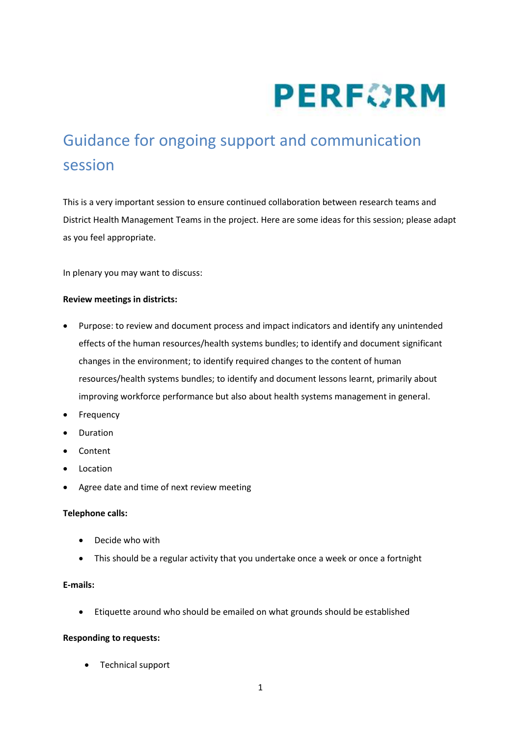

# Guidance for ongoing support and communication session

This is a very important session to ensure continued collaboration between research teams and District Health Management Teams in the project. Here are some ideas for this session; please adapt as you feel appropriate.

In plenary you may want to discuss:

#### **Review meetings in districts:**

- Purpose: to review and document process and impact indicators and identify any unintended effects of the human resources/health systems bundles; to identify and document significant changes in the environment; to identify required changes to the content of human resources/health systems bundles; to identify and document lessons learnt, primarily about improving workforce performance but also about health systems management in general.
- Frequency
- Duration
- Content
- Location
- Agree date and time of next review meeting

## **Telephone calls:**

- Decide who with
- This should be a regular activity that you undertake once a week or once a fortnight

#### **E-mails:**

Etiquette around who should be emailed on what grounds should be established

#### **Responding to requests:**

Technical support